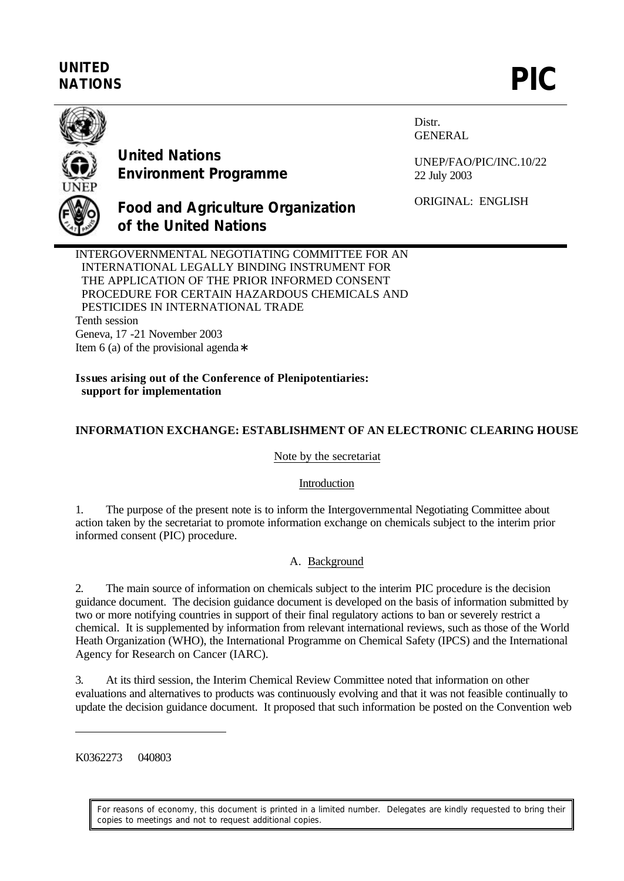# **UNITED** UNITED<br>NATIONS **PIC**



**United Nations Environment Programme**

**of the United Nations**

Distr. GENERAL

UNEP/FAO/PIC/INC.10/22 22 July 2003

**Food and Agriculture Organization**

ORIGINAL: ENGLISH

INTERGOVERNMENTAL NEGOTIATING COMMITTEE FOR AN INTERNATIONAL LEGALLY BINDING INSTRUMENT FOR THE APPLICATION OF THE PRIOR INFORMED CONSENT PROCEDURE FOR CERTAIN HAZARDOUS CHEMICALS AND PESTICIDES IN INTERNATIONAL TRADE Tenth session Geneva, 17 -21 November 2003 Item 6 (a) of the provisional agenda∗

**Issues arising out of the Conference of Plenipotentiaries: support for implementation**

## **INFORMATION EXCHANGE: ESTABLISHMENT OF AN ELECTRONIC CLEARING HOUSE**

#### Note by the secretariat

#### Introduction

1. The purpose of the present note is to inform the Intergovernmental Negotiating Committee about action taken by the secretariat to promote information exchange on chemicals subject to the interim prior informed consent (PIC) procedure.

## A. Background

2. The main source of information on chemicals subject to the interim PIC procedure is the decision guidance document. The decision guidance document is developed on the basis of information submitted by two or more notifying countries in support of their final regulatory actions to ban or severely restrict a chemical. It is supplemented by information from relevant international reviews, such as those of the World Heath Organization (WHO), the International Programme on Chemical Safety (IPCS) and the International Agency for Research on Cancer (IARC).

3. At its third session, the Interim Chemical Review Committee noted that information on other evaluations and alternatives to products was continuously evolving and that it was not feasible continually to update the decision guidance document. It proposed that such information be posted on the Convention web

K0362273 040803

 $\overline{a}$ 

For reasons of economy, this document is printed in a limited number. Delegates are kindly requested to bring their copies to meetings and not to request additional copies.